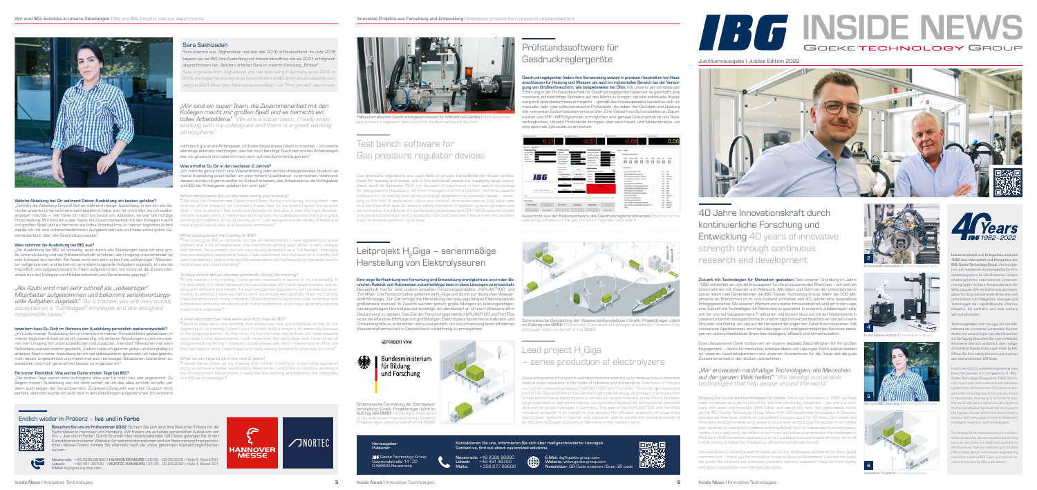

## Welche Abteilung hat Dir während Deiner Ausbildung am besten gefallen?

"Definitiv die Abteilung Einkauf! Schon während meiner Ausbildung, in der ich alle Bereiche unseres Unternehmens kennengelernt habe, war für mich klar, wo ich später arbeiten möchte – hier fühle ich mich bis heute am wohlsten, es war die richtige Entscheidung. Wir sind ein super Team, die Zusammenarbeit mit den Kollegen macht mir großen Spaß und es herrscht ein tolles Arbeitsklima. In meiner täglichen Arbeit have a good overall view of all business processes." werde ich mit den unterschiedlichsten Aufgaben betraut und habe einen guten Gesamtüberblick über alle Geschäftsprozesse.

"Die Ausbildung bei IBG ist vielseitig, quer durch alle Abteilungen habe ich eine gro-and familiar. As a trainee, you are very quickly accepted as a "full-fledged" employee ße Unterstützung und viel Hilfsbereitschaft erfahren, der Umgang untereinander ist and are assigned responsible tasks. I was welcomed into the team in a friendly and sehr kollegial und familiär. Als Azubi wird man sehr schnell als "vollwertiger" Mitarbeiter aufgenommen und bekommt verantwortungsvolle Aufgaben zugeteilt. Ich wurde helpfulness and understanding." freundlich und aufgeschlossen im Team aufgenommen, bis heute ist die Zusammenarbeit mit den Kollegen von Hilfsbereitschaft und Verständnis geprägt."

## Was zeichnet die Ausbildung bei IBG aus?

"Im Laufe meiner Ausbildung bin ich merklich in meiner Persönlichkeit gewachsen. In meiner täglichen Arbeit ist es oft notwendig, mit anderen Abteilungen zu kommunizieren, der Umgang mit unterschiedlichen und zunächst "fremden" Menschen hat mein Selbstbewusstsein enorm gestärkt. Zudem habe ich gelernt, genau und sorgfältig zu arbeiten. Nach meiner Ausbildung bin ich viel selbstsicherer geworden, ich habe gelernt, mich neuen, ungewohnten und manchmal auch stressigen Situationen souveräner zu-What do you hope to do in the next 2 years? zuwenden und mich generell viel besser zu organisieren."

## Inwiefern hast Du Dich im Rahmen der Ausbildung persönlich weiterentwickelt?

Sara stammt aus Afghanistan und lebt seit 2016 in Deutschland. Im Jahr 2018 begann sie bei IBG ihre Ausbildung zur Industriekauffrau, die sie 2021 erfolgreich abgeschlossen hat. Seitdem arbeitet Sara in unserer Abteilung "Einkauf".

## Ein kurzer Rückblick. Wie waren Deine ersten Tage bei IBG?

"Die ersten Tage waren sehr aufregend, alles war für mich neu und ungewohnt. Zu and IBG as an employer!" Beginn meiner Ausbildung war ich nicht sicher, ob ich das alles wirklich schaffe, vor allem auch wegen der Sprachbarriere. Zu diesem Zeitpunkt war mein Deutsch nicht perfekt, dennoch wurde ich sehr nett in den Abteilungen aufgenommen. Ich erinnere

## *"Wir sind ein super Team, die Zusammenarbeit mit den Kollegen macht mir großen Spaß und es herrscht ein*

*tolles Arbeitsklima." "We are a super team, I really enjoy working with my colleagues and there is a great working atmosphere."*

## Sara Sakhizadeh

Sara originates from Afghanistan and has been living in Germany since 2016. In 2018, she began her training as an industrial clerk at IBG, which she successfully completed in 2021. Since then, Sara has been working in our "Procurement" department.

mich noch gut an die Anfangszeit, ich hatte Angst etwas falsch zu machen – ich konnte allerdings jederzeit nachfragen, das hat mich beruhigt. Nach den ersten Arbeitstagen war ich glücklich und habe ich mich sehr auf das Kommende gefreut."

### Was erhoffst Du Dir in den nächsten 2 Jahren?

"Ich möchte gerne noch eine Weiterbildung oder ein berufsbegleitendes Studium an meine Ausbildung anschließen um eine höhere Qualifikation zu erreichen. Währenddessen würde ich gerne weiter im Einkauf arbeiten, das Arbeitsklima, die Kollegialität und IBG als Arbeitgeber gefallen mir sehr gut!"

### Which department did you like best during your training?

"Definitely the Procurement Department! Even during my training, during which I got to know all the areas of our company, it was clear to me where I would like to work later – this is where I feel most comfortable to this day, it was the right decision. We are a super team, I really enjoy working with my colleagues and there is a great working atmosphere. In my day-to-day work, I am assigned a wide variety of tasks and

### What distinguishes the training at IBG?

"The training at IBG is versatile, across all departments I have experienced great support and a lot of helpfulness, the interaction among each other is very collegial open-minded way, and to this day the cooperation with colleagues is characterised by

> Lead project H<sub>2</sub>Giga – series production of electrolyzers

### To what extent did you develop personally during the training?

"In the course of my training, I have grown noticeably in terms of my personality. In my daily work, it is often necessary to communicate with other departments, and dealing with different and initially "foreign" people has boosted my self-confidence enormously. In addition, I have learned to work accurately and carefully. After my training, I have become much more confident, I have learned to approach new, unfamiliar and sometimes stressful situations with more confidence, and I have generally become much more organised."

precise documentation and traceability. Our test benches have a main and auxiliary Ausschnitt aus der Bediensoftware des Gasdruckreglerprüfstandes I Section of the operating software of the gas pressure regulator test stand

### A brief retrospective. How were your first days at IBG?

"The first days were very exciting, everything was new and unfamiliar to me. At the beginning of my training, I wasn't sure if I could really manage it all, especially because of the language barrier. At that time, my German was not perfect, yet I was received very nicely in the departments. I still remember the early days well, I was afraid of doing something wrong – however, I could always ask, which reassured me. After the first few days of work, I was happy and really looking forward to what was to come."

"I would like to follow up my training with further training or a part-time course of study to achieve a higher qualification. Meanwhile, I would like to continue working in the Procurement Department, I really like the working atmosphere, the collegiality

## "*Als Azubi wird man sehr schnell als "vollwertiger" Mitarbeiter aufgenommen und bekommt verantwortungsvolle Aufgaben zugeteilt.*" *"As a trainee, you are very quickly accepted as a "full-fledged" employee and are assigned responsible tasks."*

Zukunft mit Technologien für Menschen gestalten. Seit unserer Gründung im Jahre 1982 verstehen wir uns als Impulsgeber für die produzierenden Branchen – wir sind ein Unternehmen mit Visionen und Weitsicht. Mit Vater und Sohn an der Unternehmensspitze leiten zwei Generationen die IBG ⁄ Goeke Technology Group. Mehr als 300 Mitarbeiter an Standorten im In- und Ausland schreiben seit 40 Jahren eine beispiellose Erfolgsgeschichte. Mit unseren Werten und unserer Innovationskraft sind wir in der Lage, eine Zukunft mit Technologien für Menschen zu gestalten. In unserem Jubiläumsjahr stützen wir uns auf liebgewonnene Traditionen und blicken stolz zurück auf Meilensteine in unserer Unternehmensgeschichte. In unserer täglichen Arbeit besinnen wir uns auf unsere Wurzeln und Werte, um uns auf die Herausforderungen der Zukunft vorzubereiten. Mit innovativen Applikationen, smarten Lösungen und maßgeschneiderten Services bewegen wir unterschiedlichste Branchen: intelligent, effizient und klimafreundlich.

Prüfstandssoftware für

Gasdruckreglergeräte

Gasdruckregelgeräte finden ihre Verwendung sowohl in privaten Haushalten bei Hausanschlüssen für Heizung und Wasser, als auch im industriellen Bereich bei der Versorgung von Großverbrauchern, wie beispielsweise bei Öfen. Mit unserer jahrzehntelangen Erfahrung in der Prüfstandstechnik für Gasdruckregelgeräte haben wir es geschafft, eine modulare, echtzeitfähige Software auf den Markt zu bringen, die eine individuelle Anpassung an Kundenbedürfnisse ermöglicht – gemäß des Einsatzgebietes handelt es sich um manuelle, halb- oder vollautomatische Prüfstände, die neben der Dichtheit und Leistung alle relevanten Sicherheitselemente prüfen. Eine Vielzahl von Schnittstellen zu Datenbanken und ERP ⁄ MES-Systemen ermöglichen eine genaue Dokumentation und Rückverfolgbarkeit. Unsere Prüfstände verfügen über eine Haupt- und Nebenstrecke, um

## 40 Jahre Innovationskraft durch kontinuierliche Forschung und Entwicklung 40 years of innovative strength through continuous research and development **2**



## Test bench software for Gas pressure regulator devices

Gas pressure regulators are used both in private households for house connections for heating and water, and in the industrial sector for supplying large consumers, such as furnaces. With our decades of experience in test bench technology for gas pressure regulators, we have managed to bring a modular, real-time capable software to the market that allows individual adaptation to customer needs – according to the field of application, these are manual, semi-automatic or fully automatic test benches that test all relevant safety elements in addition to leak tightness and performance. A multitude of interfaces to databases and ERP ⁄ MES systems enable track to achieve optimum cycle time.



Präzise Millimeterarbeit I Precise millimeter work



Innovative Projekte I Innovative projects





**IBG** Goeke Technology Group Osemundstraße 14 - 22 D-58809 Neuenrade

### Eine enge Verflechtung von Forschung und Entwicklung ermöglicht es uns in den Bereichen Robotik und Automation zukunftsfähige best-in-class Lösungen zu entwickeln. Beispielhaft hierfür sind unsere aktuellen Forschungsprojekte "HyPLANT100" und "FertiRob". Die Förderprojekte gehören zu H2-Giga und damit zur deutschen Wasserstoff-Strategie. Zur Zeit erfolgt die Herstellung von leistungsfähigen Elektrolyseuren größtenteils manuell. In Zukunft werden jedoch große Mengen an leistungsfähigen, kostengünstigen Elektrolyseuren benötigt, um den Bedarf an Grünem Wasserstoff in Deutschland zu decken. Das Ziel der Forschungsprojekte HyPLANT100 und FertiRob ist es die effiziente Montage von großskaligen Elektrolyseursystemen in Kabinett- und Containergröße zu erforschen und zu entwickeln, um die Umsetzung einer effizienten Wasserstoffwirtschaft in Deutschland mittelfristig zu ermöglichen.







Close integration of research and development enables us to develop future-oriented best-in-class solutions in the fields of robotics and automation. Examples of this are our current research projects "HyPLANT100" and "FertiRob". The funding projects are part of H2-Giga and thus of the German hydrogen strategy. At present, the production of high-performance electrolysers is carried out largely manually. In the future, however, large quantities of high-performance, low-cost electrolysers will be needed to meet the demand for green hydrogen in Germany. The goal of the HyPLANT100 and FertiRob research projects is to research and develop the efficient assembly of large-scale electrolyser systems in cabinet and container size to enable the implementation of an efficient hydrogen economy in Germany in the medium term.



Halbautomatischer Gasdruckreglerprüfstand für Mitteldruck-Geräte I Semi-automatic gas pressure regulator test stand for medium pressure devices

Schematische Darstellung der Wasserstoffproduktion I Grafik: Projektträger Jülich im Auftrag des BMBF I Schematic illustration of hydrogen production I Graphic: Projektträger Jülich on behalf of the BMBF

## GEFÖRDERT VOM





lichen Messe-Tickets können Sie alternativ auch die unten genannten Kontaktmöglichkeiten nutzen. Neuenrade: +49 2392 96890 I HANNOVER MESSE I 30.05. - 02.06.2022 I Halle 6, Stand E57 Lübeck: +49 451 39700 I NORTEC HAMBURG I 31.05. - 03.06.2022 I Halle 1, Stand 301



Endlich wieder in Präsenz – live und in Farbe

Jubiläumsausgabe I Jubilee Edition 2022

Einen besonderen Dank richten wir an unsere weltweit Beschäftigten für Ihr großes Engagement – danke für innovative, kreative Ideen und Lösungen! Nicht zuletzt danken wir unseren Geschäftspartnern und unserem Kundenkreis für die Treue und die gute Zusammenarbeit in den letzten Jahrzehnten.

Shaping the future with technologies for people. Since our foundation in 1982, we have seen ourselves as a driving force for the manufacturing industries - we are a a com-<br>Wir sind IBG: Interview I We are IBG: Interview pany with vision and foresight. With father and son at the helm, two generations manage the IBG ⁄ Goeke Technology Group. More than 300 employees at locations in Germany and abroad have been writing an unparalleled success story for 40 years. Our values and innovative strength enable us to shape a future with technologies for people. In our jubilee year, we draw on cherished traditions and proudly look back on milestones in our company's history. In our daily work, we reflect on our roots and values to prepare for the challenges of the future. With innovative applications, smart solutions and customised services, we move a wide variety of industries: intelligently, efficiently and climate-friendly.

We would like to extend a special thank you to our employees worldwide for their great commitment – thank you for innovative, creative ideas and solutions! Last but not least, we would like to thank our business partners and our customer base for their loyalty and good cooperation over the past decades.

# **BG INSIDE NEWS** GOEKE TECHNOLOGY GROUP

1982 die Leidenschaft und Kompetenz der IBG ⁄ Goeke Technology Group. Wir konzipieren und realisieren kundenspezifische Produktionssysteme für alle Branchen. Unsere inhabergeführte, internationale Unternehmensgruppe mit Sitz in Neuenrade ist in der Welt zuhause. Wir verstehen uns als Impulsgeber für die produzierenden Branchen und unterstützen mit intelligenten Lösungen und Technologien die Logistik-Branche, Pharma-Industrie, die Luftfahrt und viele weitere Wirtschaftsfelder.

Technologiefelder und Lösungen für den Mittelstand. Als innovativer und starker Partner stellen wir unsere Expertise allen Branchen zur Verfügung. Besuchen Sie unsere Website, informieren Sie sich ausführlich über maßgeschneiderte Ingenieurslösungen made by IBG. Öffnen Sie Ihre Handy-Kamera und scannen den obenstehenden QR-Code.

Industrial robotics and plant engineering have been the passion and competence of IBG ⁄ Goeke Technology Group since 1982. We design and implement customised production systems for all industries. Our owner-managed, international group of companies, based in Neuenrade, Germany, is at home all over the world. We see ourselves as a driving force for the manufacturing industries and support the logistics sector, pharmaceutical industry, aviation and many other economic fields with intelligent solutions and technologies.

Technology fields and solutions for mediumsized companies. As an innovative and strong partner, we make our expertise available to all industries. Visit our website, get detailed information about customised engineering solutions made by IBG. Open your phone camera and scan the QR code above.



Echte Mobile Robotik I True Mobile Robotics



"*Wir entwickeln nachhaltige Technologien, die Menschen auf der ganzen Welt helfen.*" "*We develop sustainable technologies that help people around the world.*"

Schematische Darstellung der Eletrolyseurherstellung I Grafik: Projektträger Jülich im Auftrag des BMBF I Schematic illustration of the eletrolyser manufacturing I Graphic: Projektträger Jülich on behalf of the BMBF



Herausgeber Publisher

Kontaktieren Sie uns, informieren Sie sich über maßgeschneiderte Lösungen.



Contact us, find out about customized solutions.

Neuenrade: +49 2392 96890 Lübeck: +49 451 39700 Malta: + 356 277 99600

E-Mail: ibg@goeke-group.com Website: www.goeke-group.com Newsletter: QR-Code scannen ⁄ Scan QR code